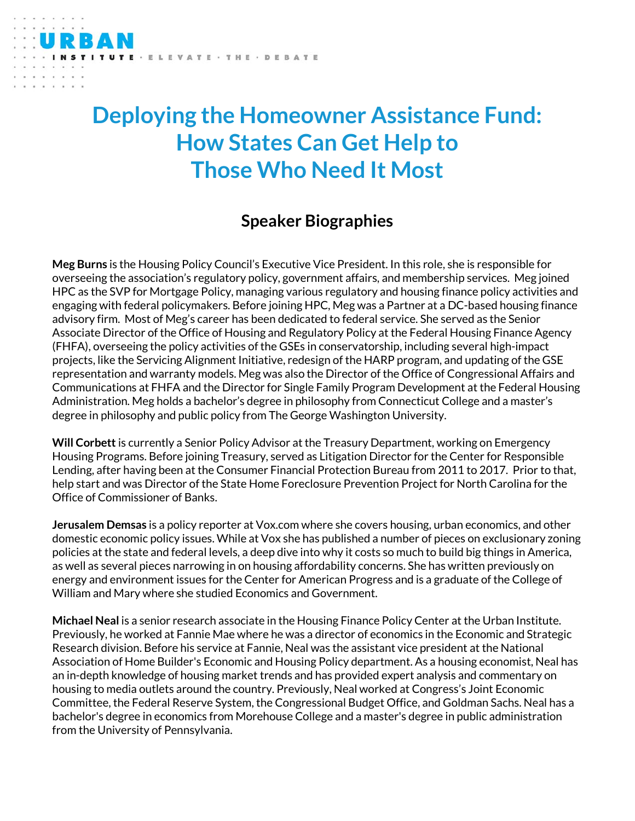## ELEVATE · THE · DEBATE

## **Deploying the Homeowner Assistance Fund: How States Can Get Help to Those Who Need It Most**

## **Speaker Biographies**

**Meg Burns** is the Housing Policy Council's Executive Vice President. In this role, she is responsible for overseeing the association's regulatory policy, government affairs, and membership services. Meg joined HPC as the SVP for Mortgage Policy, managing various regulatory and housing finance policy activities and engaging with federal policymakers. Before joining HPC, Meg was a Partner at a DC-based housing finance advisory firm. Most of Meg's career has been dedicated to federal service. She served as the Senior Associate Director of the Office of Housing and Regulatory Policy at the Federal Housing Finance Agency (FHFA), overseeing the policy activities of the GSEs in conservatorship, including several high-impact projects, like the Servicing Alignment Initiative, redesign of the HARP program, and updating of the GSE representation and warranty models. Meg was also the Director of the Office of Congressional Affairs and Communications at FHFA and the Director for Single Family Program Development at the Federal Housing Administration. Meg holds a bachelor's degree in philosophy from Connecticut College and a master's degree in philosophy and public policy from The George Washington University.

**Will Corbett** is currently a Senior Policy Advisor at the Treasury Department, working on Emergency Housing Programs. Before joining Treasury, served as Litigation Director for the Center for Responsible Lending, after having been at the Consumer Financial Protection Bureau from 2011 to 2017. Prior to that, help start and was Director of the State Home Foreclosure Prevention Project for North Carolina for the Office of Commissioner of Banks.

**Jerusalem Demsas** is a policy reporter at Vox.com where she covers housing, urban economics, and other domestic economic policy issues. While at Vox she has published a number of pieces on exclusionary zoning policies at the state and federal levels, a deep dive into why it costs so much to build big things in America, as well as several pieces narrowing in on housing affordability concerns. She has written previously on energy and environment issues for the Center for American Progress and is a graduate of the College of William and Mary where she studied Economics and Government.

**Michael Neal** is a senior research associate in the Housing Finance Policy Center at the Urban Institute. Previously, he worked at Fannie Mae where he was a director of economics in the Economic and Strategic Research division. Before his service at Fannie, Neal was the assistant vice president at the National Association of Home Builder's Economic and Housing Policy department. As a housing economist, Neal has an in-depth knowledge of housing market trends and has provided expert analysis and commentary on housing to media outlets around the country. Previously, Neal worked at Congress's Joint Economic Committee, the Federal Reserve System, the Congressional Budget Office, and Goldman Sachs. Neal has a bachelor's degree in economics from Morehouse College and a master's degree in public administration from the University of Pennsylvania.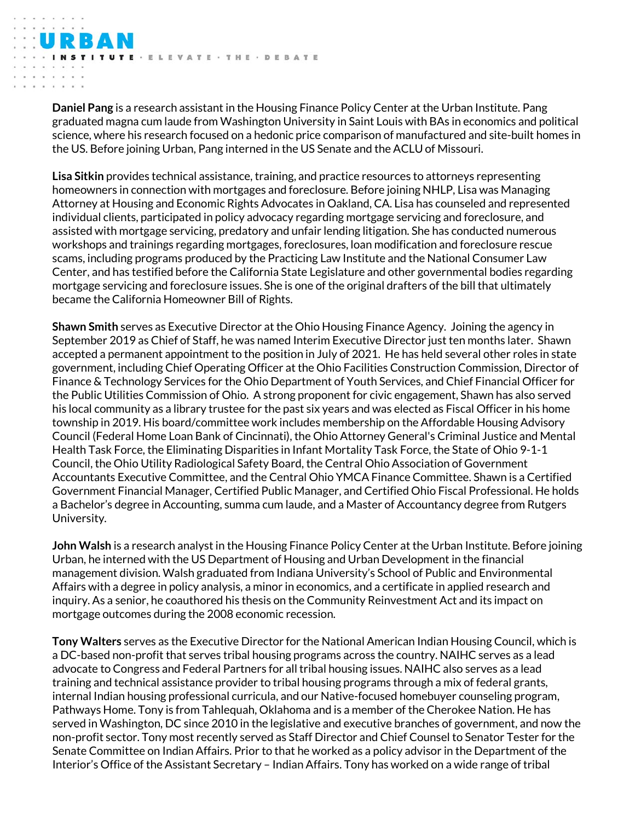**Daniel Pang** is a research assistant in the Housing Finance Policy Center at the Urban Institute. Pang graduated magna cum laude from Washington University in Saint Louis with BAs in economics and political science, where his research focused on a hedonic price comparison of manufactured and site-built homes in the US. Before joining Urban, Pang interned in the US Senate and the ACLU of Missouri.

TE - ELEVATE - THE - DEBATE

**Lisa Sitkin** provides technical assistance, training, and practice resources to attorneys representing homeowners in connection with mortgages and foreclosure. Before joining NHLP, Lisa was Managing Attorney at Housing and Economic Rights Advocates in Oakland, CA. Lisa has counseled and represented individual clients, participated in policy advocacy regarding mortgage servicing and foreclosure, and assisted with mortgage servicing, predatory and unfair lending litigation. She has conducted numerous workshops and trainings regarding mortgages, foreclosures, loan modification and foreclosure rescue scams, including programs produced by the Practicing Law Institute and the National Consumer Law Center, and has testified before the California State Legislature and other governmental bodies regarding mortgage servicing and foreclosure issues. She is one of the original drafters of the bill that ultimately became the California Homeowner Bill of Rights.

**Shawn Smith** serves as Executive Director at the Ohio Housing Finance Agency. Joining the agency in September 2019 as Chief of Staff, he was named Interim Executive Director just ten months later. Shawn accepted a permanent appointment to the position in July of 2021. He has held several other roles in state government, including Chief Operating Officer at the Ohio Facilities Construction Commission, Director of Finance & Technology Services for the Ohio Department of Youth Services, and Chief Financial Officer for the Public Utilities Commission of Ohio. A strong proponent for civic engagement, Shawn has also served his local community as a library trustee for the past six years and was elected as Fiscal Officer in his home township in 2019. His board/committee work includes membership on the Affordable Housing Advisory Council (Federal Home Loan Bank of Cincinnati), the Ohio Attorney General's Criminal Justice and Mental Health Task Force, the Eliminating Disparities in Infant Mortality Task Force, the State of Ohio 9-1-1 Council, the Ohio Utility Radiological Safety Board, the Central Ohio Association of Government Accountants Executive Committee, and the Central Ohio YMCA Finance Committee. Shawn is a Certified Government Financial Manager, Certified Public Manager, and Certified Ohio Fiscal Professional. He holds a Bachelor's degree in Accounting, summa cum laude, and a Master of Accountancy degree from Rutgers University.

**John Walsh** is a research analyst in the Housing Finance Policy Center at the Urban Institute. Before joining Urban, he interned with the US Department of Housing and Urban Development in the financial management division. Walsh graduated from Indiana University's School of Public and Environmental Affairs with a degree in policy analysis, a minor in economics, and a certificate in applied research and inquiry. As a senior, he coauthored his thesis on the Community Reinvestment Act and its impact on mortgage outcomes during the 2008 economic recession.

**Tony Walters** serves as the Executive Director for the National American Indian Housing Council, which is a DC-based non-profit that serves tribal housing programs across the country. NAIHC serves as a lead advocate to Congress and Federal Partners for all tribal housing issues. NAIHC also serves as a lead training and technical assistance provider to tribal housing programs through a mix of federal grants, internal Indian housing professional curricula, and our Native-focused homebuyer counseling program, Pathways Home. Tony is from Tahlequah, Oklahoma and is a member of the Cherokee Nation. He has served in Washington, DC since 2010 in the legislative and executive branches of government, and now the non-profit sector. Tony most recently served as Staff Director and Chief Counsel to Senator Tester for the Senate Committee on Indian Affairs. Prior to that he worked as a policy advisor in the Department of the Interior's Office of the Assistant Secretary – Indian Affairs. Tony has worked on a wide range of tribal